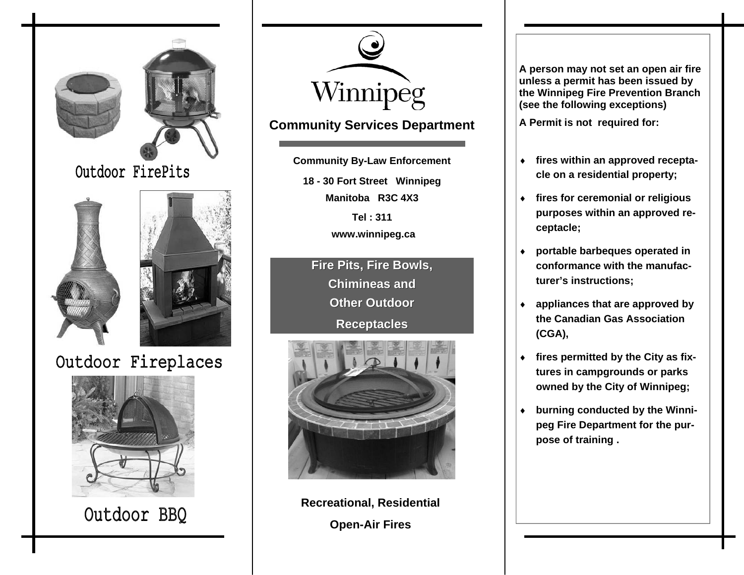



Outdoor BBQ



## **Community Services Department**

**18 - 30 Fort Street Winnipeg Manitoba R3C 4X3Tel : 311 www.winnipeg.ca Community By-Law Enforcement** 

**Fire Pits, Fire Bowls, Fire Pits, Fire Bowls, Chimineas and Chimineas andOther Outdoor Receptacles Receptacles**



**Recreational, Residential Open-Air Fires** 

**A person may not set an open air fire unless a permit has been issued by the Winnipeg Fire Prevention Branch (see the following exceptions)** 

**A Permit is not required for:** 

- ♦ **fires within an approved receptacle on a residential property;**
- ♦ **fires for ceremonial or religious purposes within an approved receptacle;**
- ♦ **portable barbeques operated in conformance with the manufacturer's instructions;**
- ♦ **appliances that are approved by the Canadian Gas Association (CGA),**
- ♦ **fires permitted by the City as fixtures in campgrounds or parks owned by the City of Winnipeg;**
- ♦ **burning conducted by the Winnipeg Fire Department for the purpose of training .**